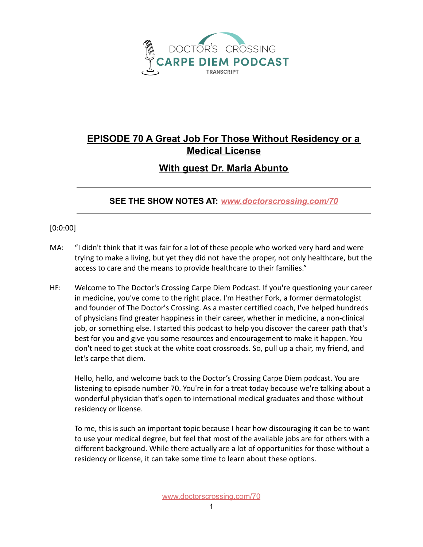

## **EPISODE 70 A Great Job For Those Without Residency or a Medical License**

## **With guest Dr. Maria Abunto**

## **SEE THE SHOW NOTES AT:** *[www.doctorscrossing.com/70](http://www.doctorscrossing.com/70)*

## [0:0:00]

- MA: "I didn't think that it was fair for a lot of these people who worked very hard and were trying to make a living, but yet they did not have the proper, not only healthcare, but the access to care and the means to provide healthcare to their families."
- HF: Welcome to The Doctor's Crossing Carpe Diem Podcast. If you're questioning your career in medicine, you've come to the right place. I'm Heather Fork, a former dermatologist and founder of The Doctor's Crossing. As a master certified coach, I've helped hundreds of physicians find greater happiness in their career, whether in medicine, a non-clinical job, or something else. I started this podcast to help you discover the career path that's best for you and give you some resources and encouragement to make it happen. You don't need to get stuck at the white coat crossroads. So, pull up a chair, my friend, and let's carpe that diem.

Hello, hello, and welcome back to the Doctor's Crossing Carpe Diem podcast. You are listening to episode number 70. You're in for a treat today because we're talking about a wonderful physician that's open to international medical graduates and those without residency or license.

To me, this is such an important topic because I hear how discouraging it can be to want to use your medical degree, but feel that most of the available jobs are for others with a different background. While there actually are a lot of opportunities for those without a residency or license, it can take some time to learn about these options.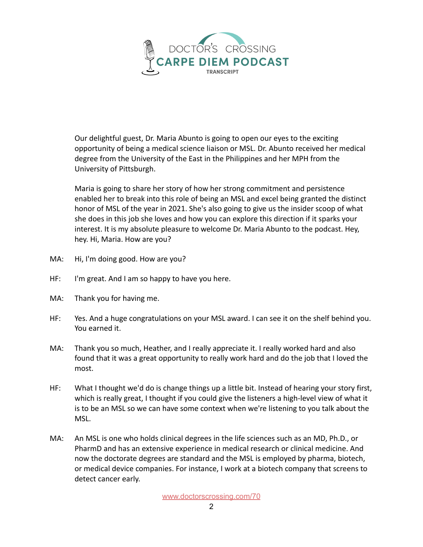

Our delightful guest, Dr. Maria Abunto is going to open our eyes to the exciting opportunity of being a medical science liaison or MSL. Dr. Abunto received her medical degree from the University of the East in the Philippines and her MPH from the University of Pittsburgh.

Maria is going to share her story of how her strong commitment and persistence enabled her to break into this role of being an MSL and excel being granted the distinct honor of MSL of the year in 2021. She's also going to give us the insider scoop of what she does in this job she loves and how you can explore this direction if it sparks your interest. It is my absolute pleasure to welcome Dr. Maria Abunto to the podcast. Hey, hey. Hi, Maria. How are you?

- MA: Hi, I'm doing good. How are you?
- HF: I'm great. And I am so happy to have you here.
- MA: Thank you for having me.
- HF: Yes. And a huge congratulations on your MSL award. I can see it on the shelf behind you. You earned it.
- MA: Thank you so much, Heather, and I really appreciate it. I really worked hard and also found that it was a great opportunity to really work hard and do the job that I loved the most.
- HF: What I thought we'd do is change things up a little bit. Instead of hearing your story first, which is really great, I thought if you could give the listeners a high-level view of what it is to be an MSL so we can have some context when we're listening to you talk about the MSL.
- MA: An MSL is one who holds clinical degrees in the life sciences such as an MD, Ph.D., or PharmD and has an extensive experience in medical research or clinical medicine. And now the doctorate degrees are standard and the MSL is employed by pharma, biotech, or medical device companies. For instance, I work at a biotech company that screens to detect cancer early.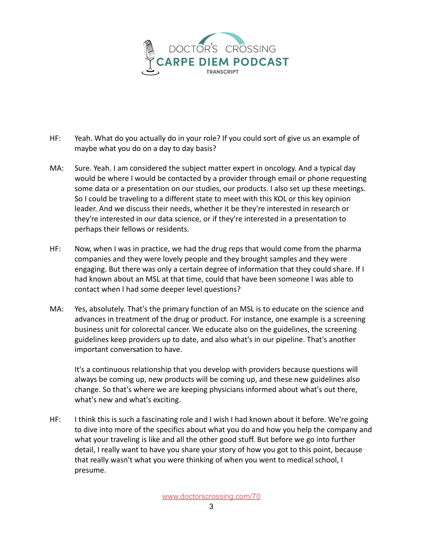

- HF: Yeah. What do you actually do in your role? If you could sort of give us an example of maybe what you do on a day to day basis?
- MA: Sure. Yeah. I am considered the subject matter expert in oncology. And a typical day would be where I would be contacted by a provider through email or phone requesting some data or a presentation on our studies, our products. I also set up these meetings. So I could be traveling to a different state to meet with this KOL or this key opinion leader. And we discuss their needs, whether it be they're interested in research or they're interested in our data science, or if they're interested in a presentation to perhaps their fellows or residents.
- HF: Now, when I was in practice, we had the drug reps that would come from the pharma companies and they were lovely people and they brought samples and they were engaging. But there was only a certain degree of information that they could share. If I had known about an MSL at that time, could that have been someone I was able to contact when I had some deeper level questions?
- MA: Yes, absolutely. That's the primary function of an MSL is to educate on the science and advances in treatment of the drug or product. For instance, one example is a screening business unit for colorectal cancer. We educate also on the guidelines, the screening guidelines keep providers up to date, and also what's in our pipeline. That's another important conversation to have.

It's a continuous relationship that you develop with providers because questions will always be coming up, new products will be coming up, and these new guidelines also change. So that's where we are keeping physicians informed about what's out there, what's new and what's exciting.

HF: I think this is such a fascinating role and I wish I had known about it before. We're going to dive into more of the specifics about what you do and how you help the company and what your traveling is like and all the other good stuff. But before we go into further detail, I really want to have you share your story of how you got to this point, because that really wasn't what you were thinking of when you went to medical school, I presume.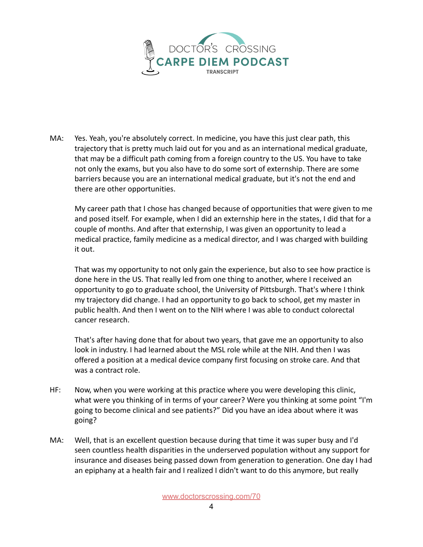

MA: Yes. Yeah, you're absolutely correct. In medicine, you have this just clear path, this trajectory that is pretty much laid out for you and as an international medical graduate, that may be a difficult path coming from a foreign country to the US. You have to take not only the exams, but you also have to do some sort of externship. There are some barriers because you are an international medical graduate, but it's not the end and there are other opportunities.

My career path that I chose has changed because of opportunities that were given to me and posed itself. For example, when I did an externship here in the states, I did that for a couple of months. And after that externship, I was given an opportunity to lead a medical practice, family medicine as a medical director, and I was charged with building it out.

That was my opportunity to not only gain the experience, but also to see how practice is done here in the US. That really led from one thing to another, where I received an opportunity to go to graduate school, the University of Pittsburgh. That's where I think my trajectory did change. I had an opportunity to go back to school, get my master in public health. And then I went on to the NIH where I was able to conduct colorectal cancer research.

That's after having done that for about two years, that gave me an opportunity to also look in industry. I had learned about the MSL role while at the NIH. And then I was offered a position at a medical device company first focusing on stroke care. And that was a contract role.

- HF: Now, when you were working at this practice where you were developing this clinic, what were you thinking of in terms of your career? Were you thinking at some point "I'm going to become clinical and see patients?" Did you have an idea about where it was going?
- MA: Well, that is an excellent question because during that time it was super busy and I'd seen countless health disparities in the underserved population without any support for insurance and diseases being passed down from generation to generation. One day I had an epiphany at a health fair and I realized I didn't want to do this anymore, but really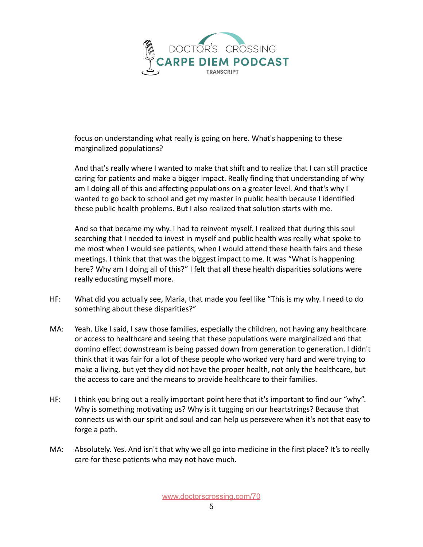

focus on understanding what really is going on here. What's happening to these marginalized populations?

And that's really where I wanted to make that shift and to realize that I can still practice caring for patients and make a bigger impact. Really finding that understanding of why am I doing all of this and affecting populations on a greater level. And that's why I wanted to go back to school and get my master in public health because I identified these public health problems. But I also realized that solution starts with me.

And so that became my why. I had to reinvent myself. I realized that during this soul searching that I needed to invest in myself and public health was really what spoke to me most when I would see patients, when I would attend these health fairs and these meetings. I think that that was the biggest impact to me. It was "What is happening here? Why am I doing all of this?" I felt that all these health disparities solutions were really educating myself more.

- HF: What did you actually see, Maria, that made you feel like "This is my why. I need to do something about these disparities?"
- MA: Yeah. Like I said, I saw those families, especially the children, not having any healthcare or access to healthcare and seeing that these populations were marginalized and that domino effect downstream is being passed down from generation to generation. I didn't think that it was fair for a lot of these people who worked very hard and were trying to make a living, but yet they did not have the proper health, not only the healthcare, but the access to care and the means to provide healthcare to their families.
- HF: I think you bring out a really important point here that it's important to find our "why". Why is something motivating us? Why is it tugging on our heartstrings? Because that connects us with our spirit and soul and can help us persevere when it's not that easy to forge a path.
- MA: Absolutely. Yes. And isn't that why we all go into medicine in the first place? It's to really care for these patients who may not have much.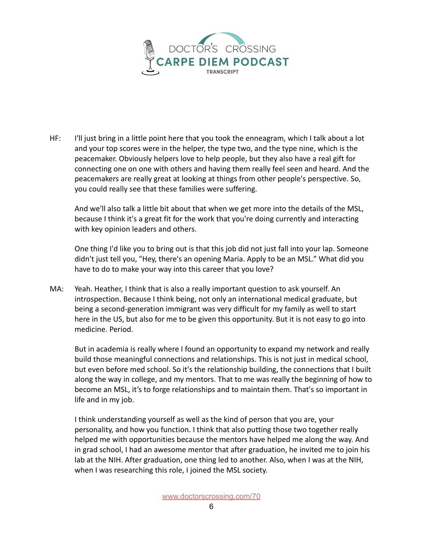

HF: I'll just bring in a little point here that you took the enneagram, which I talk about a lot and your top scores were in the helper, the type two, and the type nine, which is the peacemaker. Obviously helpers love to help people, but they also have a real gift for connecting one on one with others and having them really feel seen and heard. And the peacemakers are really great at looking at things from other people's perspective. So, you could really see that these families were suffering.

And we'll also talk a little bit about that when we get more into the details of the MSL, because I think it's a great fit for the work that you're doing currently and interacting with key opinion leaders and others.

One thing I'd like you to bring out is that this job did not just fall into your lap. Someone didn't just tell you, "Hey, there's an opening Maria. Apply to be an MSL." What did you have to do to make your way into this career that you love?

MA: Yeah. Heather, I think that is also a really important question to ask yourself. An introspection. Because I think being, not only an international medical graduate, but being a second-generation immigrant was very difficult for my family as well to start here in the US, but also for me to be given this opportunity. But it is not easy to go into medicine. Period.

But in academia is really where I found an opportunity to expand my network and really build those meaningful connections and relationships. This is not just in medical school, but even before med school. So it's the relationship building, the connections that I built along the way in college, and my mentors. That to me was really the beginning of how to become an MSL, it's to forge relationships and to maintain them. That's so important in life and in my job.

I think understanding yourself as well as the kind of person that you are, your personality, and how you function. I think that also putting those two together really helped me with opportunities because the mentors have helped me along the way. And in grad school, I had an awesome mentor that after graduation, he invited me to join his lab at the NIH. After graduation, one thing led to another. Also, when I was at the NIH, when I was researching this role, I joined the MSL society.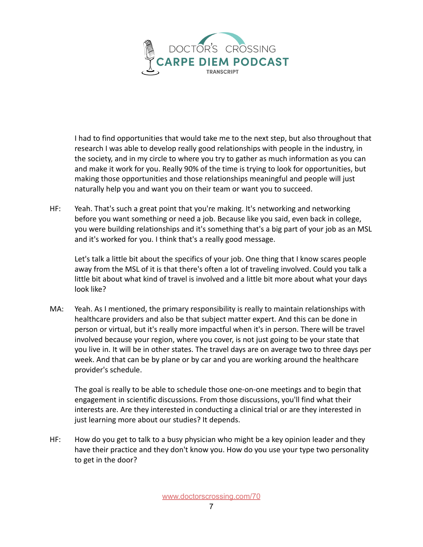

I had to find opportunities that would take me to the next step, but also throughout that research I was able to develop really good relationships with people in the industry, in the society, and in my circle to where you try to gather as much information as you can and make it work for you. Really 90% of the time is trying to look for opportunities, but making those opportunities and those relationships meaningful and people will just naturally help you and want you on their team or want you to succeed.

HF: Yeah. That's such a great point that you're making. It's networking and networking before you want something or need a job. Because like you said, even back in college, you were building relationships and it's something that's a big part of your job as an MSL and it's worked for you. I think that's a really good message.

Let's talk a little bit about the specifics of your job. One thing that I know scares people away from the MSL of it is that there's often a lot of traveling involved. Could you talk a little bit about what kind of travel is involved and a little bit more about what your days look like?

MA: Yeah. As I mentioned, the primary responsibility is really to maintain relationships with healthcare providers and also be that subject matter expert. And this can be done in person or virtual, but it's really more impactful when it's in person. There will be travel involved because your region, where you cover, is not just going to be your state that you live in. It will be in other states. The travel days are on average two to three days per week. And that can be by plane or by car and you are working around the healthcare provider's schedule.

The goal is really to be able to schedule those one-on-one meetings and to begin that engagement in scientific discussions. From those discussions, you'll find what their interests are. Are they interested in conducting a clinical trial or are they interested in just learning more about our studies? It depends.

HF: How do you get to talk to a busy physician who might be a key opinion leader and they have their practice and they don't know you. How do you use your type two personality to get in the door?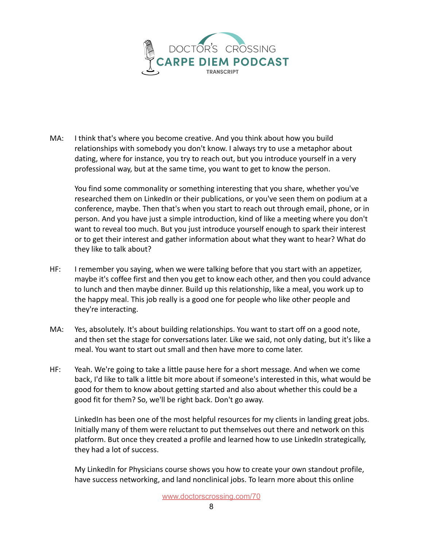

MA: I think that's where you become creative. And you think about how you build relationships with somebody you don't know. I always try to use a metaphor about dating, where for instance, you try to reach out, but you introduce yourself in a very professional way, but at the same time, you want to get to know the person.

You find some commonality or something interesting that you share, whether you've researched them on LinkedIn or their publications, or you've seen them on podium at a conference, maybe. Then that's when you start to reach out through email, phone, or in person. And you have just a simple introduction, kind of like a meeting where you don't want to reveal too much. But you just introduce yourself enough to spark their interest or to get their interest and gather information about what they want to hear? What do they like to talk about?

- HF: I remember you saying, when we were talking before that you start with an appetizer, maybe it's coffee first and then you get to know each other, and then you could advance to lunch and then maybe dinner. Build up this relationship, like a meal, you work up to the happy meal. This job really is a good one for people who like other people and they're interacting.
- MA: Yes, absolutely. It's about building relationships. You want to start off on a good note, and then set the stage for conversations later. Like we said, not only dating, but it's like a meal. You want to start out small and then have more to come later.
- HF: Yeah. We're going to take a little pause here for a short message. And when we come back, I'd like to talk a little bit more about if someone's interested in this, what would be good for them to know about getting started and also about whether this could be a good fit for them? So, we'll be right back. Don't go away.

LinkedIn has been one of the most helpful resources for my clients in landing great jobs. Initially many of them were reluctant to put themselves out there and network on this platform. But once they created a profile and learned how to use LinkedIn strategically, they had a lot of success.

My LinkedIn for Physicians course shows you how to create your own standout profile, have success networking, and land nonclinical jobs. To learn more about this online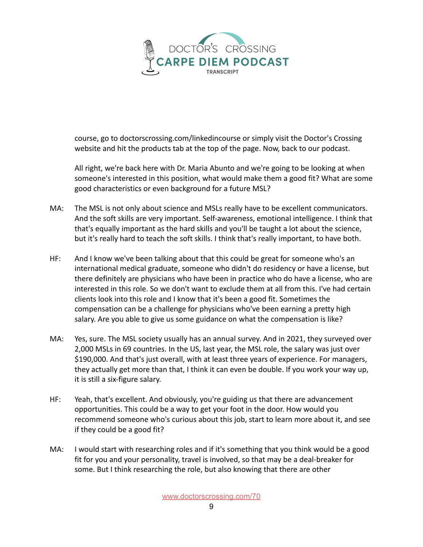

course, go to doctorscrossing.com/linkedincourse or simply visit the Doctor's Crossing website and hit the products tab at the top of the page. Now, back to our podcast.

All right, we're back here with Dr. Maria Abunto and we're going to be looking at when someone's interested in this position, what would make them a good fit? What are some good characteristics or even background for a future MSL?

- MA: The MSL is not only about science and MSLs really have to be excellent communicators. And the soft skills are very important. Self-awareness, emotional intelligence. I think that that's equally important as the hard skills and you'll be taught a lot about the science, but it's really hard to teach the soft skills. I think that's really important, to have both.
- HF: And I know we've been talking about that this could be great for someone who's an international medical graduate, someone who didn't do residency or have a license, but there definitely are physicians who have been in practice who do have a license, who are interested in this role. So we don't want to exclude them at all from this. I've had certain clients look into this role and I know that it's been a good fit. Sometimes the compensation can be a challenge for physicians who've been earning a pretty high salary. Are you able to give us some guidance on what the compensation is like?
- MA: Yes, sure. The MSL society usually has an annual survey. And in 2021, they surveyed over 2,000 MSLs in 69 countries. In the US, last year, the MSL role, the salary was just over \$190,000. And that's just overall, with at least three years of experience. For managers, they actually get more than that, I think it can even be double. If you work your way up, it is still a six-figure salary.
- HF: Yeah, that's excellent. And obviously, you're guiding us that there are advancement opportunities. This could be a way to get your foot in the door. How would you recommend someone who's curious about this job, start to learn more about it, and see if they could be a good fit?
- MA: I would start with researching roles and if it's something that you think would be a good fit for you and your personality, travel is involved, so that may be a deal-breaker for some. But I think researching the role, but also knowing that there are other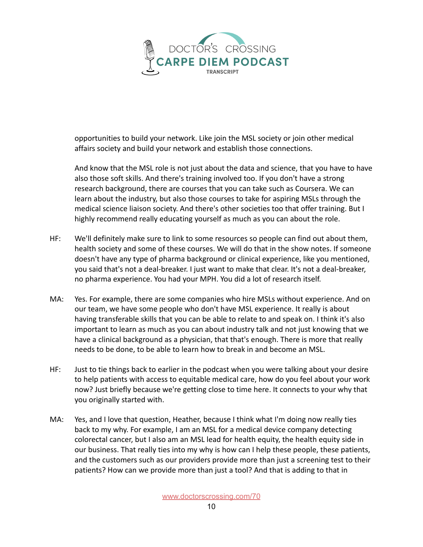

opportunities to build your network. Like join the MSL society or join other medical affairs society and build your network and establish those connections.

And know that the MSL role is not just about the data and science, that you have to have also those soft skills. And there's training involved too. If you don't have a strong research background, there are courses that you can take such as Coursera. We can learn about the industry, but also those courses to take for aspiring MSLs through the medical science liaison society. And there's other societies too that offer training. But I highly recommend really educating yourself as much as you can about the role.

- HF: We'll definitely make sure to link to some resources so people can find out about them, health society and some of these courses. We will do that in the show notes. If someone doesn't have any type of pharma background or clinical experience, like you mentioned, you said that's not a deal-breaker. I just want to make that clear. It's not a deal-breaker, no pharma experience. You had your MPH. You did a lot of research itself.
- MA: Yes. For example, there are some companies who hire MSLs without experience. And on our team, we have some people who don't have MSL experience. It really is about having transferable skills that you can be able to relate to and speak on. I think it's also important to learn as much as you can about industry talk and not just knowing that we have a clinical background as a physician, that that's enough. There is more that really needs to be done, to be able to learn how to break in and become an MSL.
- HF: Just to tie things back to earlier in the podcast when you were talking about your desire to help patients with access to equitable medical care, how do you feel about your work now? Just briefly because we're getting close to time here. It connects to your why that you originally started with.
- MA: Yes, and I love that question, Heather, because I think what I'm doing now really ties back to my why. For example, I am an MSL for a medical device company detecting colorectal cancer, but I also am an MSL lead for health equity, the health equity side in our business. That really ties into my why is how can I help these people, these patients, and the customers such as our providers provide more than just a screening test to their patients? How can we provide more than just a tool? And that is adding to that in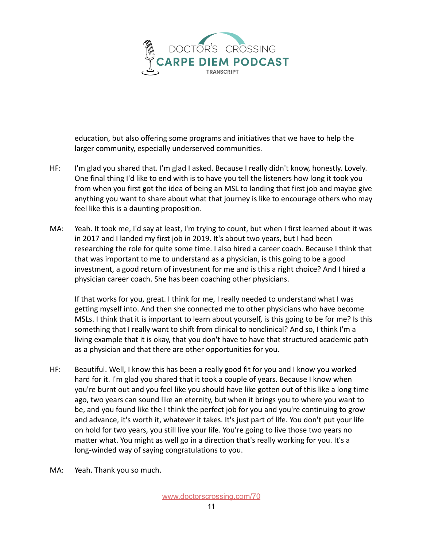

education, but also offering some programs and initiatives that we have to help the larger community, especially underserved communities.

- HF: I'm glad you shared that. I'm glad I asked. Because I really didn't know, honestly. Lovely. One final thing I'd like to end with is to have you tell the listeners how long it took you from when you first got the idea of being an MSL to landing that first job and maybe give anything you want to share about what that journey is like to encourage others who may feel like this is a daunting proposition.
- MA: Yeah. It took me, I'd say at least, I'm trying to count, but when I first learned about it was in 2017 and I landed my first job in 2019. It's about two years, but I had been researching the role for quite some time. I also hired a career coach. Because I think that that was important to me to understand as a physician, is this going to be a good investment, a good return of investment for me and is this a right choice? And I hired a physician career coach. She has been coaching other physicians.

If that works for you, great. I think for me, I really needed to understand what I was getting myself into. And then she connected me to other physicians who have become MSLs. I think that it is important to learn about yourself, is this going to be for me? Is this something that I really want to shift from clinical to nonclinical? And so, I think I'm a living example that it is okay, that you don't have to have that structured academic path as a physician and that there are other opportunities for you.

- HF: Beautiful. Well, I know this has been a really good fit for you and I know you worked hard for it. I'm glad you shared that it took a couple of years. Because I know when you're burnt out and you feel like you should have like gotten out of this like a long time ago, two years can sound like an eternity, but when it brings you to where you want to be, and you found like the I think the perfect job for you and you're continuing to grow and advance, it's worth it, whatever it takes. It's just part of life. You don't put your life on hold for two years, you still live your life. You're going to live those two years no matter what. You might as well go in a direction that's really working for you. It's a long-winded way of saying congratulations to you.
- MA: Yeah. Thank you so much.